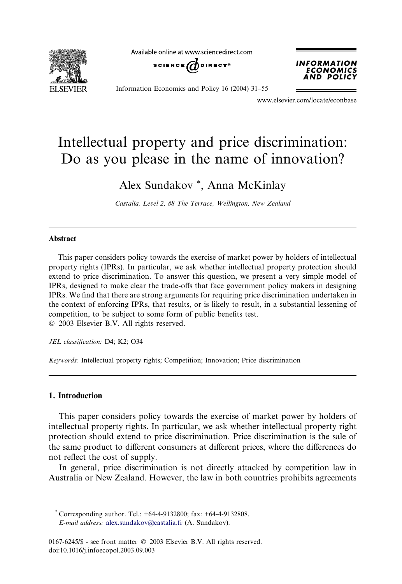

Available online at www.sciencedirect.com





Information Economics and Policy 16 (2004) 31–55

www.elsevier.com/locate/econbase

# Intellectual property and price discrimination: Do as you please in the name of innovation?

Alex Sundakov \*, Anna McKinlay

Castalia, Level 2, 88 The Terrace, Wellington, New Zealand

#### Abstract

This paper considers policy towards the exercise of market power by holders of intellectual property rights (IPRs). In particular, we ask whether intellectual property protection should extend to price discrimination. To answer this question, we present a very simple model of IPRs, designed to make clear the trade-offs that face government policy makers in designing IPRs. We find that there are strong arguments for requiring price discrimination undertaken in the context of enforcing IPRs, that results, or is likely to result, in a substantial lessening of competition, to be subject to some form of public benefits test. 2003 Elsevier B.V. All rights reserved.

JEL classification: D4; K2; O34

Keywords: Intellectual property rights; Competition; Innovation; Price discrimination

## 1. Introduction

This paper considers policy towards the exercise of market power by holders of intellectual property rights. In particular, we ask whether intellectual property right protection should extend to price discrimination. Price discrimination is the sale of the same product to different consumers at different prices, where the differences do not reflect the cost of supply.

In general, price discrimination is not directly attacked by competition law in Australia or New Zealand. However, the law in both countries prohibits agreements

\* Corresponding author. Tel.:  $+64-4-9132800$ ; fax:  $+64-4-9132808$ . E-mail address: [alex.sundakov@castalia.fr](mail to: alex.sundakov@castalia.fr) (A. Sundakov).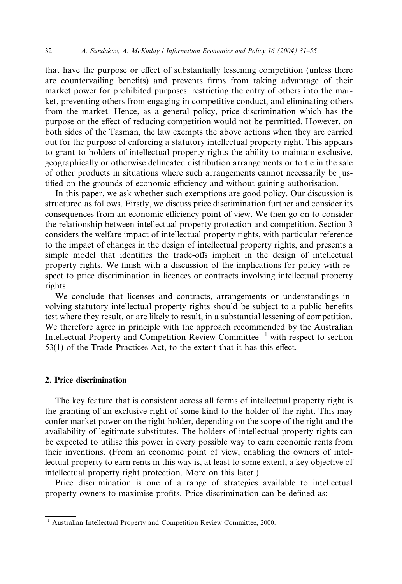that have the purpose or effect of substantially lessening competition (unless there are countervailing benefits) and prevents firms from taking advantage of their market power for prohibited purposes: restricting the entry of others into the market, preventing others from engaging in competitive conduct, and eliminating others from the market. Hence, as a general policy, price discrimination which has the purpose or the effect of reducing competition would not be permitted. However, on both sides of the Tasman, the law exempts the above actions when they are carried out for the purpose of enforcing a statutory intellectual property right. This appears to grant to holders of intellectual property rights the ability to maintain exclusive, geographically or otherwise delineated distribution arrangements or to tie in the sale of other products in situations where such arrangements cannot necessarily be justified on the grounds of economic efficiency and without gaining authorisation.

In this paper, we ask whether such exemptions are good policy. Our discussion is structured as follows. Firstly, we discuss price discrimination further and consider its consequences from an economic efficiency point of view. We then go on to consider the relationship between intellectual property protection and competition. Section 3 considers the welfare impact of intellectual property rights, with particular reference to the impact of changes in the design of intellectual property rights, and presents a simple model that identifies the trade-offs implicit in the design of intellectual property rights. We finish with a discussion of the implications for policy with respect to price discrimination in licences or contracts involving intellectual property rights.

We conclude that licenses and contracts, arrangements or understandings involving statutory intellectual property rights should be subject to a public benefits test where they result, or are likely to result, in a substantial lessening of competition. We therefore agree in principle with the approach recommended by the Australian Intellectual Property and Competition Review Committee  $1$  with respect to section 53(1) of the Trade Practices Act, to the extent that it has this effect.

### 2. Price discrimination

The key feature that is consistent across all forms of intellectual property right is the granting of an exclusive right of some kind to the holder of the right. This may confer market power on the right holder, depending on the scope of the right and the availability of legitimate substitutes. The holders of intellectual property rights can be expected to utilise this power in every possible way to earn economic rents from their inventions. (From an economic point of view, enabling the owners of intellectual property to earn rents in this way is, at least to some extent, a key objective of intellectual property right protection. More on this later.)

Price discrimination is one of a range of strategies available to intellectual property owners to maximise profits. Price discrimination can be defined as:

<sup>&</sup>lt;sup>1</sup> Australian Intellectual Property and Competition Review Committee, 2000.